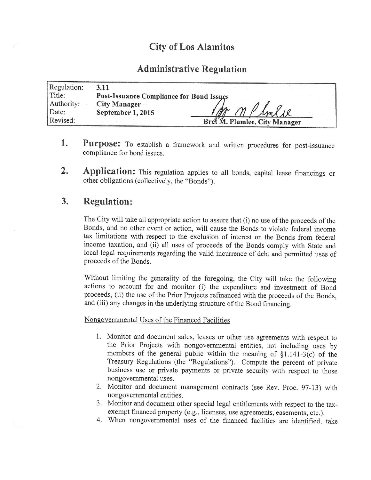# City of Los Alamitos

## Administrative Regulation

| Regulation: | 3.11                                            |                               |
|-------------|-------------------------------------------------|-------------------------------|
| Title:      | <b>Post-Issuance Compliance for Bond Issues</b> |                               |
| Authority:  | <b>City Manager</b>                             |                               |
| Date:       | September 1, 2015                               | $M_{M}$ / 10                  |
| Revised:    |                                                 | Bret M. Plumlee, City Manager |

- 1. Purpose: To establish a framework and written procedures for post-issuance compliance for bond issues.
- 2. Application: This regulation applies to all bonds, capital lease financings or other obligations ( collectively, the " Bonds").

## 3. Regulation:

The City will take all appropriate action to assure that (i) no use of the proceeds of the Bonds, and no other event or action, will cause the Bonds to violate federal income tax limitations with respect to the exclusion of interest on the Bonds from federal income taxation, and (ii) all uses of proceeds of the Bonds comply with State and local legal requirements regarding the valid incurrence of debt and permitted uses of proceeds of the Bonds.

Without limiting the generality of the foregoing, the City will take the following actions to account for and monitor (i) the expenditure and investment of Bond proceeds, (ii) the use of the Prior Projects refinanced with the proceeds of the Bonds, and (iii) any changes in the underlying structure of the Bond financing.

Nongovernmental Uses of the Financed Facilities

- 1. Monitor and document sales, leases or other use agreements with respect to the Prior Projects with nongovernmental entities, not including uses by members of the general public within the meaning of  $\S1.141-3(c)$  of the Treasury Regulations (the "Regulations"). Compute the percent of private business use or private payments or private security with respect to those nongovernmental uses.
- 2. Monitor and document management contracts (see Rev. Proc. 97-13) with nongovernmental entities.
- 3. Monitor and document other special legal entitlements with respect to the taxexempt financed property (e.g., licenses, use agreements, easements, etc.).
- 4. When nongovernmental uses of the financed facilities are identified, take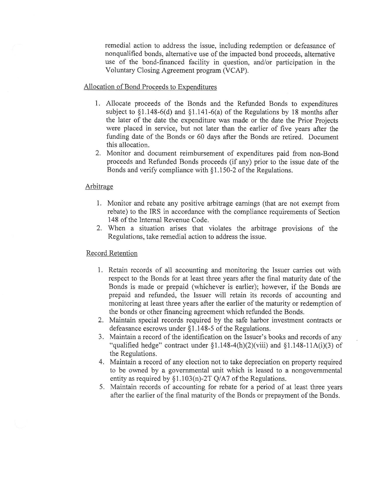remedial action to address the issue, including redemption or defeasance of nonqualified bonds, alternative use of the impacted bond proceeds, alternative use of the bond-financed facility in question, and/or participation in the Voluntary Closing Agreement program (VCAP).

### Allocation of Bond Proceeds to Expenditures

- 1. Allocate proceeds of the Bonds and the Refunded Bonds to expenditures subject to  $\S1.148-6(d)$  and  $\S1.141-6(a)$  of the Regulations by 18 months after the later of the date the expenditure was made or the date the Prior Projects were placed in service, but not later than the earlier of five years after the funding date of the Bonds or 60 days after the Bonds are retired. Document this allocation.
- 2. Monitor and document reimbursement of expenditures paid from non-Bond proceeds and Refunded Bonds proceeds ( if any) prior to the issue date of the Bonds and verify compliance with  $§1.150-2$  of the Regulations.

#### Arbitrage

- 1. Monitor and rebate any positive arbitrage earnings ( that are not exempt from rebate) to the IRS in accordance with the compliance requirements of Section 148 of the Internal Revenue Code.
- 2. When a situation arises that violates the arbitrage provisions of the Regulations, take remedial action to address the issue.

#### Record Retention

- 1. Retain records of all accounting and monitoring the Issuer carries out with respect to the Bonds for at least three years after the final maturity date of the Bonds is made or prepaid ( whichever is earlier); however, if the Bonds are prepaid and refunded, the Issuer will retain its records of accounting and monitoring at least three years after the earlier of the maturity or redemption of the bonds or other financing agreement which refunded the Bonds.
- 2. Maintain special records required by the safe harbor investment contracts or defeasance escrows under  $§1.148-5$  of the Regulations.
- 3. Maintain a record of the identification on the Issuer's books and records of any "qualified hedge" contract under  $\S1.148-4(h)(2)(viii)$  and  $\S1.148-11A(i)(3)$  of the Regulations.
- 4. Maintain <sup>a</sup> record of any election not to take depreciation on property required to be owned by a governmental unit which is leased to a nongovernmental entity as required by  $\S1.103(n)$ -2T Q/A7 of the Regulations.
- 5. Maintain records of accounting for rebate for <sup>a</sup> period of at least three years after the earlier of the final maturity of the Bonds or prepayment of the Bonds.